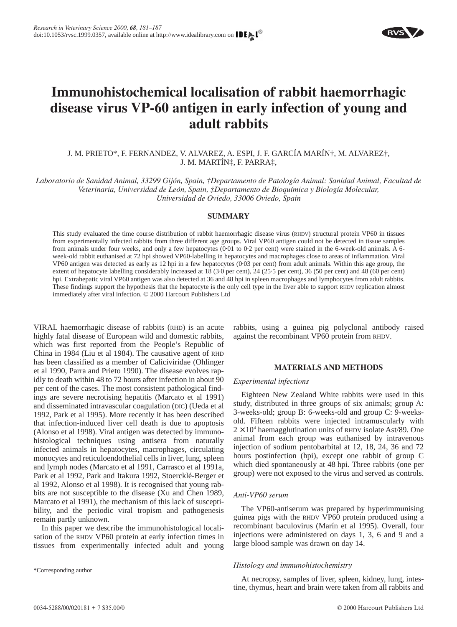

# **Immunohistochemical localisation of rabbit haemorrhagic disease virus VP-60 antigen in early infection of young and adult rabbits**

J. M. PRIETO\*, F. FERNANDEZ, V. ALVAREZ, A. ESPI, J. F. GARCÍA MARÍN†, M. ALVAREZ†, J. M. MARTÍN‡, F. PARRA‡,

*Laboratorio de Sanidad Animal, 33299 Gijón, Spain, †Departamento de Patología Animal: Sanidad Animal, Facultad de Veterinaria, Universidad de León, Spain, ‡Departamento de Bioquímica y Biología Molecular, Universidad de Oviedo, 33006 Oviedo, Spain*

# **SUMMARY**

This study evaluated the time course distribution of rabbit haemorrhagic disease virus (RHDV) structural protein VP60 in tissues from experimentally infected rabbits from three different age groups. Viral VP60 antigen could not be detected in tissue samples from animals under four weeks, and only a few hepatocytes (0·01 to 0·2 per cent) were stained in the 6-week-old animals. A 6 week-old rabbit euthanised at 72 hpi showed VP60-labelling in hepatocytes and macrophages close to areas of inflammation. Viral VP60 antigen was detected as early as 12 hpi in a few hepatocytes (0·03 per cent) from adult animals. Within this age group, the extent of hepatocyte labelling considerably increased at 18 (3·0 per cent), 24 (25·5 per cent), 36 (50 per cent) and 48 (60 per cent) hpi. Extrahepatic viral VP60 antigen was also detected at 36 and 48 hpi in spleen macrophages and lymphocytes from adult rabbits. These findings support the hypothesis that the hepatocyte is the only cell type in the liver able to support RHDV replication almost immediately after viral infection. © 2000 Harcourt Publishers Ltd

VIRAL haemorrhagic disease of rabbits (RHD) is an acute highly fatal disease of European wild and domestic rabbits, which was first reported from the People's Republic of China in 1984 [\(Liu et al 1984\).](#page-6-0) The causative agent of RHD has been classified as a member of Caliciviridae [\(Ohlinger](#page-6-1) [et al 1990,](#page-6-1) [Parra and Prieto 1990\).](#page-6-2) The disease evolves rapidly to death within 48 to 72 hours after infection in about 90 per cent of the cases. The most consistent pathological findings are severe necrotising hepatitis [\(Marcato et al 1991\)](#page-6-3) and disseminated intravascular coagulation (DIC) [\(Ueda et al](#page-6-4) [1992,](#page-6-4) [Park et al 1995\).](#page-6-5) More recently it has been described that infection-induced liver cell death is due to apoptosis [\(Alonso et al 1998\).](#page-6-6) Viral antigen was detected by immunohistological techniques using antisera from naturally infected animals in hepatocytes, macrophages, circulating monocytes and reticuloendothelial cells in liver, lung, spleen and lymph nodes [\(Marcato et al 1991,](#page-6-3) [Carrasco et al 1991a,](#page-6-7) [Park et al 1992,](#page-6-5) [Park and Itakura 1992,](#page-6-5) [Stoercklé-Berger et](#page-6-8) [al 1992,](#page-6-8) [Alonso et al 1998\).](#page-6-6) It is recognised that young rabbits are not susceptible to the disease [\(Xu and Chen 1989,](#page-6-9) [Marcato et al 1991\),](#page-6-3) the mechanism of this lack of susceptibility, and the periodic viral tropism and pathogenesis remain partly unknown.

In this paper we describe the immunohistological localisation of the RHDV VP60 protein at early infection times in tissues from experimentally infected adult and young

\*Corresponding author

rabbits, using a guinea pig polyclonal antibody raised against the recombinant VP60 protein from RHDV.

## **MATERIALS AND METHODS**

## *Experimental infections*

Eighteen New Zealand White rabbits were used in this study, distributed in three groups of six animals; group A: 3-weeks-old; group B: 6-weeks-old and group C: 9-weeksold. Fifteen rabbits were injected intramuscularly with  $2 \times 10^4$  haemagglutination units of RHDV isolate Ast/89. One animal from each group was euthanised by intravenous injection of sodium pentobarbital at 12, 18, 24, 36 and 72 hours postinfection (hpi), except one rabbit of group C which died spontaneously at 48 hpi. Three rabbits (one per group) were not exposed to the virus and served as controls.

## *Anti-VP60 serum*

The VP60-antiserum was prepared by hyperimmunising guinea pigs with the RHDV VP60 protein produced using a recombinant baculovirus [\(Marín et al 1995\).](#page-6-10) Overall, four injections were administered on days 1, 3, 6 and 9 and a large blood sample was drawn on day 14.

## *Histology and immunohistochemistry*

At necropsy, samples of liver, spleen, kidney, lung, intestine, thymus, heart and brain were taken from all rabbits and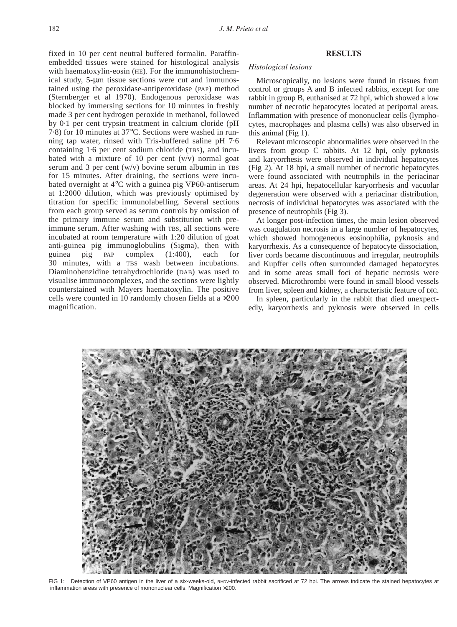fixed in 10 per cent neutral buffered formalin. Paraffinembedded tissues were stained for histological analysis with haematoxylin-eosin (HE). For the immunohistochemical study, 5-µm tissue sections were cut and immunostained using the peroxidase-antiperoxidase (PAP) method [\(Sternberger et al 1970\).](#page-6-11) Endogenous peroxidase was blocked by immersing sections for 10 minutes in freshly made 3 per cent hydrogen peroxide in methanol, followed by 0·1 per cent trypsin treatment in calcium cloride (pH 7·8) for 10 minutes at 37°C. Sections were washed in running tap water, rinsed with Tris-buffered saline pH 7·6 containing 1·6 per cent sodium chloride (TBS), and incubated with a mixture of 10 per cent  $(v/v)$  normal goat serum and 3 per cent  $(w/v)$  bovine serum albumin in TBS for 15 minutes. After draining, the sections were incubated overnight at 4°C with a guinea pig VP60-antiserum at 1:2000 dilution, which was previously optimised by titration for specific immunolabelling. Several sections from each group served as serum controls by omission of the primary immune serum and substitution with preimmune serum. After washing with TBS, all sections were incubated at room temperature with 1:20 dilution of goat anti-guinea pig immunoglobulins (Sigma), then with guinea pig PAP complex (1:400), each for 30 minutes, with a TBS wash between incubations. Diaminobenzidine tetrahydrochloride (DAB) was used to visualise immunocomplexes, and the sections were lightly counterstained with Mayers haematoxylin. The positive cells were counted in 10 randomly chosen fields at a  $\times 200$ magnification.

### **RESULTS**

#### *Histological lesions*

Microscopically, no lesions were found in tissues from control or groups A and B infected rabbits, except for one rabbit in group B, euthanised at 72 hpi, which showed a low number of necrotic hepatocytes located at periportal areas. Inflammation with presence of mononuclear cells (lymphocytes, macrophages and plasma cells) was also observed in this animal [\(Fig 1\).](#page-1-0)

Relevant microscopic abnormalities were observed in the livers from group C rabbits. At 12 hpi, only pyknosis and karyorrhesis were observed in individual hepatocytes [\(Fig 2\).](#page-2-0) At 18 hpi, a small number of necrotic hepatocytes were found associated with neutrophils in the periacinar areas. At 24 hpi, hepatocellular karyorrhesis and vacuolar degeneration were observed with a periacinar distribution, necrosis of individual hepatocytes was associated with the presence of neutrophils [\(Fig 3\).](#page-2-1)

At longer post-infection times, the main lesion observed was coagulation necrosis in a large number of hepatocytes, which showed homogeneous eosinophilia, pyknosis and karyorrhexis. As a consequence of hepatocyte dissociation, liver cords became discontinuous and irregular, neutrophils and Kupffer cells often surrounded damaged hepatocytes and in some areas small foci of hepatic necrosis were observed. Microthrombi were found in small blood vessels from liver, spleen and kidney, a characteristic feature of DIC.

In spleen, particularly in the rabbit that died unexpectedly, karyorrhexis and pyknosis were observed in cells

<span id="page-1-0"></span>

FIG 1: Detection of VP60 antigen in the liver of a six-weeks-old, RHDV-infected rabbit sacrificed at 72 hpi. The arrows indicate the stained hepatocytes at inflammation areas with presence of mononuclear cells. Magnification ×200.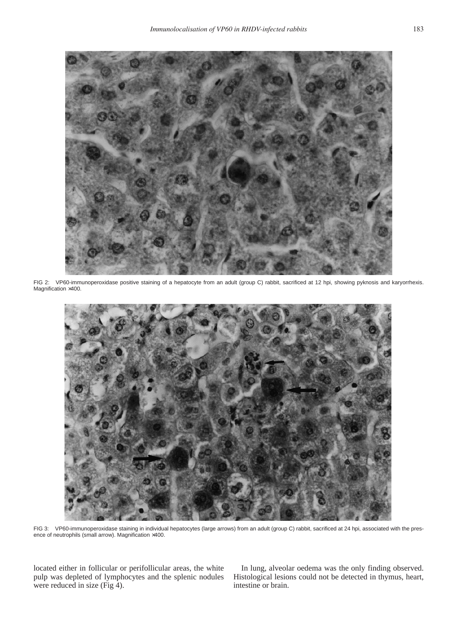<span id="page-2-0"></span>

FIG 2: VP60-immunoperoxidase positive staining of a hepatocyte from an adult (group C) rabbit, sacrificed at 12 hpi, showing pyknosis and karyorrhexis. Magnification ×400.

<span id="page-2-1"></span>

FIG 3: VP60-immunoperoxidase staining in individual hepatocytes (large arrows) from an adult (group C) rabbit, sacrificed at 24 hpi, associated with the presence of neutrophils (small arrow). Magnification ×400.

located either in follicular or perifollicular areas, the white pulp was depleted of lymphocytes and the splenic nodules were reduced in size [\(Fig 4\).](#page-3-0)

In lung, alveolar oedema was the only finding observed. Histological lesions could not be detected in thymus, heart, intestine or brain.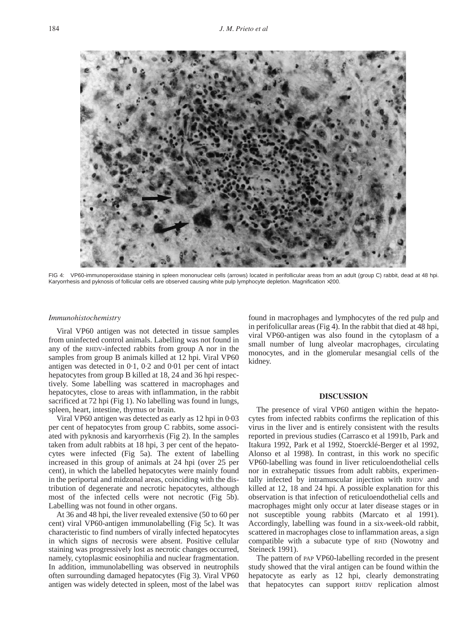<span id="page-3-0"></span>

FIG 4: VP60-immunoperoxidase staining in spleen mononuclear cells (arrows) located in perifollicular areas from an adult (group C) rabbit, dead at 48 hpi. Karyorrhesis and pyknosis of follicular cells are observed causing white pulp lymphocyte depletion. Magnification ×200.

## *Immunohistochemistry*

Viral VP60 antigen was not detected in tissue samples from uninfected control animals. Labelling was not found in any of the RHDV-infected rabbits from group A nor in the samples from group B animals killed at 12 hpi. Viral VP60 antigen was detected in 0·1, 0·2 and 0·01 per cent of intact hepatocytes from group B killed at 18, 24 and 36 hpi respectively. Some labelling was scattered in macrophages and hepatocytes, close to areas with inflammation, in the rabbit sacrificed at 72 hpi [\(Fig 1\).](#page-1-0) No labelling was found in lungs, spleen, heart, intestine, thymus or brain.

Viral VP60 antigen was detected as early as 12 hpi in 0·03 per cent of hepatocytes from group C rabbits, some associated with pyknosis and karyorrhexis [\(Fig 2\).](#page-2-0) In the samples taken from adult rabbits at 18 hpi, 3 per cent of the hepatocytes were infected [\(Fig 5a\).](#page-4-0) The extent of labelling increased in this group of animals at 24 hpi (over 25 per cent), in which the labelled hepatocytes were mainly found in the periportal and midzonal areas, coinciding with the distribution of degenerate and necrotic hepatocytes, although most of the infected cells were not necrotic [\(Fig 5b\).](#page-4-1) Labelling was not found in other organs.

At 36 and 48 hpi, the liver revealed extensive (50 to 60 per cent) viral VP60-antigen immunolabelling [\(Fig 5c\).](#page-5-0) It was characteristic to find numbers of virally infected hepatocytes in which signs of necrosis were absent. Positive cellular staining was progressively lost as necrotic changes occurred, namely, cytoplasmic eosinophilia and nuclear fragmentation. In addition, immunolabelling was observed in neutrophils often surrounding damaged hepatocytes [\(Fig 3\).](#page-2-1) Viral VP60 antigen was widely detected in spleen, most of the label was

found in macrophages and lymphocytes of the red pulp and in perifolicullar areas [\(Fig 4\).](#page-3-0) In the rabbit that died at 48 hpi, viral VP60-antigen was also found in the cytoplasm of a small number of lung alveolar macrophages, circulating monocytes, and in the glomerular mesangial cells of the kidney.

### **DISCUSSION**

The presence of viral VP60 antigen within the hepatocytes from infected rabbits confirms the replication of this virus in the liver and is entirely consistent with the results reported in previous studies [\(Carrasco et al 1991b,](#page-6-7) [Park and](#page-6-12) [Itakura 1992,](#page-6-12) [Park et al 1992,](#page-6-12) [Stoercklé-Berger et al 1992,](#page-6-8) [Alonso et al 1998\).](#page-6-6) In contrast, in this work no specific VP60-labelling was found in liver reticuloendothelial cells nor in extrahepatic tissues from adult rabbits, experimentally infected by intramuscular injection with RHDV and killed at 12, 18 and 24 hpi. A possible explanation for this observation is that infection of reticuloendothelial cells and macrophages might only occur at later disease stages or in not susceptible young rabbits [\(Marcato et al 1991\).](#page-6-13) Accordingly, labelling was found in a six-week-old rabbit, scattered in macrophages close to inflammation areas, a sign compatible with a subacute type of RHD [\(Nowotny and](#page-6-14) [Steineck 1991\).](#page-6-15)

The pattern of PAP VP60-labelling recorded in the present study showed that the viral antigen can be found within the hepatocyte as early as 12 hpi, clearly demonstrating that hepatocytes can support RHDV replication almost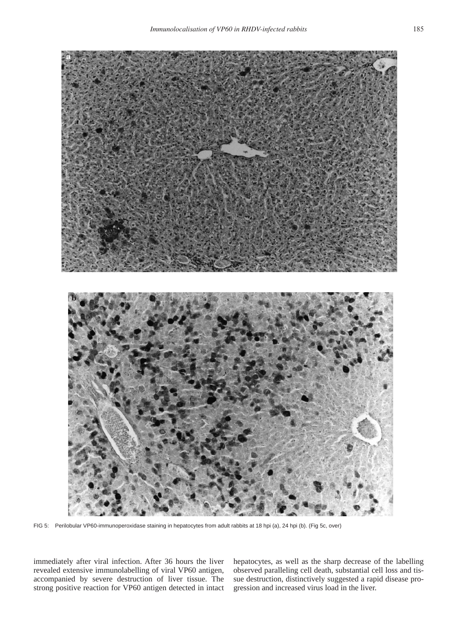<span id="page-4-1"></span><span id="page-4-0"></span>

FIG 5: Perilobular VP60-immunoperoxidase staining in hepatocytes from adult rabbits at 18 hpi (a), 24 hpi (b). (Fig 5c, over)

immediately after viral infection. After 36 hours the liver revealed extensive immunolabelling of viral VP60 antigen, accompanied by severe destruction of liver tissue. The strong positive reaction for VP60 antigen detected in intact hepatocytes, as well as the sharp decrease of the labelling observed paralleling cell death, substantial cell loss and tissue destruction, distinctively suggested a rapid disease progression and increased virus load in the liver.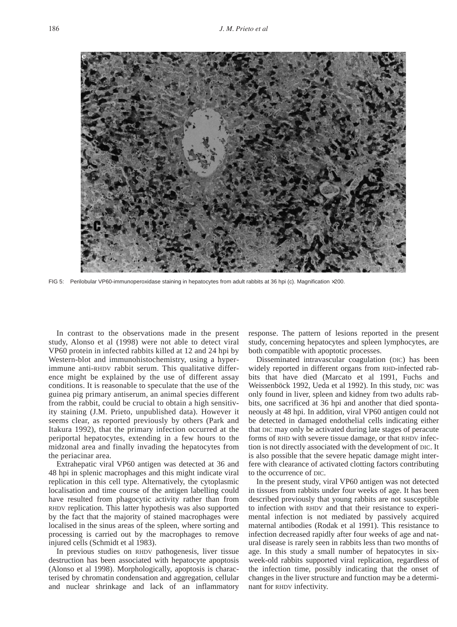<span id="page-5-0"></span>

FIG 5: Perilobular VP60-immunoperoxidase staining in hepatocytes from adult rabbits at 36 hpi (c). Magnification ×200.

In contrast to the observations made in the present study, [Alonso et al \(1998\)](#page-6-6) were not able to detect viral VP60 protein in infected rabbits killed at 12 and 24 hpi by Western-blot and immunohistochemistry, using a hyperimmune anti-RHDV rabbit serum. This qualitative difference might be explained by the use of different assay conditions. It is reasonable to speculate that the use of the guinea pig primary antiserum, an animal species different from the rabbit, could be crucial to obtain a high sensitivity staining (J.M. Prieto, unpublished data). However it seems clear, as reported previously by others [\(Park and](#page-6-12) [Itakura 1992\),](#page-6-12) that the primary infection occurred at the periportal hepatocytes, extending in a few hours to the midzonal area and finally invading the hepatocytes from the periacinar area.

Extrahepatic viral VP60 antigen was detected at 36 and 48 hpi in splenic macrophages and this might indicate viral replication in this cell type. Alternatively, the cytoplasmic localisation and time course of the antigen labelling could have resulted from phagocytic activity rather than from RHDV replication. This latter hypothesis was also supported by the fact that the majority of stained macrophages were localised in the sinus areas of the spleen, where sorting and processing is carried out by the macrophages to remove injured cells [\(Schmidt et al 1983\).](#page-6-16)

In previous studies on RHDV pathogenesis, liver tissue destruction has been associated with hepatocyte apoptosis [\(Alonso et al 1998\).](#page-6-6) Morphologically, apoptosis is characterised by chromatin condensation and aggregation, cellular and nuclear shrinkage and lack of an inflammatory response. The pattern of lesions reported in the present study, concerning hepatocytes and spleen lymphocytes, are both compatible with apoptotic processes.

Disseminated intravascular coagulation (DIC) has been widely reported in different organs from RHD-infected rabbits that have died [\(Marcato et al 1991,](#page-6-17) [Fuchs and](#page-6-18) [Weissenböck 1992,](#page-6-18) [Ueda et al 1992\).](#page-6-19) In this study, DIC was only found in liver, spleen and kidney from two adults rabbits, one sacrificed at 36 hpi and another that died spontaneously at 48 hpi. In addition, viral VP60 antigen could not be detected in damaged endothelial cells indicating either that DIC may only be activated during late stages of peracute forms of RHD with severe tissue damage, or that RHDV infection is not directly associated with the development of DIC. It is also possible that the severe hepatic damage might interfere with clearance of activated clotting factors contributing to the occurrence of DIC.

In the present study, viral VP60 antigen was not detected in tissues from rabbits under four weeks of age. It has been described previously that young rabbits are not susceptible to infection with RHDV and that their resistance to experimental infection is not mediated by passively acquired maternal antibodies [\(Rodak et al 1991\).](#page-6-20) This resistance to infection decreased rapidly after four weeks of age and natural disease is rarely seen in rabbits less than two months of age. In this study a small number of hepatocytes in sixweek-old rabbits supported viral replication, regardless of the infection time, possibly indicating that the onset of changes in the liver structure and function may be a determinant for RHDV infectivity.